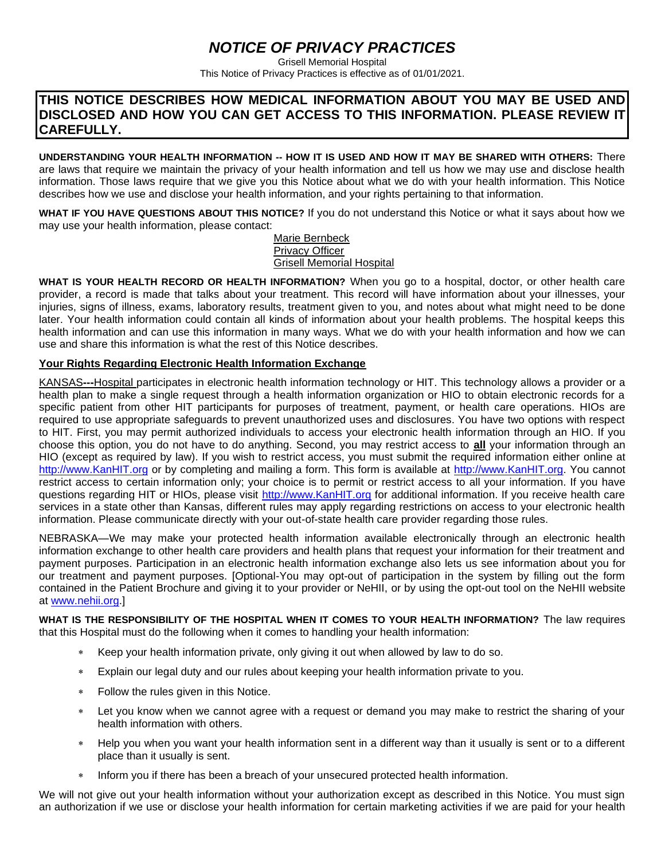## *NOTICE OF PRIVACY PRACTICES*

Grisell Memorial Hospital This Notice of Privacy Practices is effective as of 01/01/2021.

## **THIS NOTICE DESCRIBES HOW MEDICAL INFORMATION ABOUT YOU MAY BE USED AND DISCLOSED AND HOW YOU CAN GET ACCESS TO THIS INFORMATION. PLEASE REVIEW IT CAREFULLY.**

**UNDERSTANDING YOUR HEALTH INFORMATION -- HOW IT IS USED AND HOW IT MAY BE SHARED WITH OTHERS:** There are laws that require we maintain the privacy of your health information and tell us how we may use and disclose health information. Those laws require that we give you this Notice about what we do with your health information. This Notice describes how we use and disclose your health information, and your rights pertaining to that information.

**WHAT IF YOU HAVE QUESTIONS ABOUT THIS NOTICE?** If you do not understand this Notice or what it says about how we may use your health information, please contact:

> Marie Bernbeck Privacy Officer Grisell Memorial Hospital

**WHAT IS YOUR HEALTH RECORD OR HEALTH INFORMATION?** When you go to a hospital, doctor, or other health care provider, a record is made that talks about your treatment. This record will have information about your illnesses, your injuries, signs of illness, exams, laboratory results, treatment given to you, and notes about what might need to be done later. Your health information could contain all kinds of information about your health problems. The hospital keeps this health information and can use this information in many ways. What we do with your health information and how we can use and share this information is what the rest of this Notice describes.

## **Your Rights Regarding Electronic Health Information Exchange**

KANSAS**---**Hospital participates in electronic health information technology or HIT. This technology allows a provider or a health plan to make a single request through a health information organization or HIO to obtain electronic records for a specific patient from other HIT participants for purposes of treatment, payment, or health care operations. HIOs are required to use appropriate safeguards to prevent unauthorized uses and disclosures. You have two options with respect to HIT. First, you may permit authorized individuals to access your electronic health information through an HIO. If you choose this option, you do not have to do anything. Second, you may restrict access to **all** your information through an HIO (except as required by law). If you wish to restrict access, you must submit the required information either online at [http://www.KanHIT.org](http://www.kanhit.org/) or by completing and mailing a form. This form is available at [http://www.KanHIT.org.](http://www.kanhit.org/) You cannot restrict access to certain information only; your choice is to permit or restrict access to all your information. If you have questions regarding HIT or HIOs, please visit [http://www.KanHIT.org](http://www.kanhit.org/) for additional information. If you receive health care services in a state other than Kansas, different rules may apply regarding restrictions on access to your electronic health information. Please communicate directly with your out-of-state health care provider regarding those rules.

NEBRASKA—We may make your protected health information available electronically through an electronic health information exchange to other health care providers and health plans that request your information for their treatment and payment purposes. Participation in an electronic health information exchange also lets us see information about you for our treatment and payment purposes. [Optional-You may opt-out of participation in the system by filling out the form contained in the Patient Brochure and giving it to your provider or NeHII, or by using the opt-out tool on the NeHII website at [www.nehii.org.](http://www.nehii.org/)]

**WHAT IS THE RESPONSIBILITY OF THE HOSPITAL WHEN IT COMES TO YOUR HEALTH INFORMATION?** The law requires that this Hospital must do the following when it comes to handling your health information:

- Keep your health information private, only giving it out when allowed by law to do so.
- Explain our legal duty and our rules about keeping your health information private to you.
- Follow the rules given in this Notice.
- Let you know when we cannot agree with a request or demand you may make to restrict the sharing of your health information with others.
- Help you when you want your health information sent in a different way than it usually is sent or to a different place than it usually is sent.
- Inform you if there has been a breach of your unsecured protected health information.

We will not give out your health information without your authorization except as described in this Notice. You must sign an authorization if we use or disclose your health information for certain marketing activities if we are paid for your health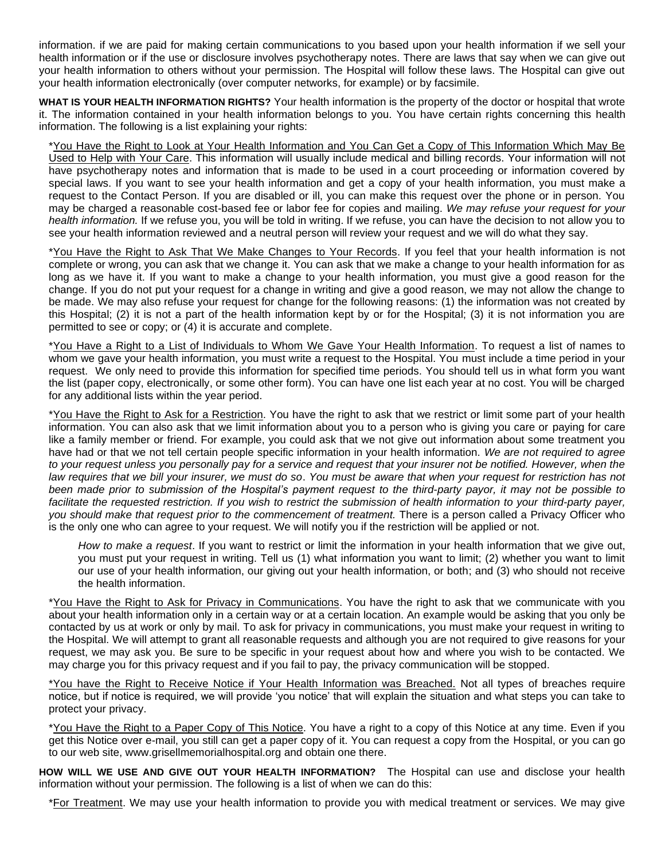information. if we are paid for making certain communications to you based upon your health information if we sell your health information or if the use or disclosure involves psychotherapy notes. There are laws that say when we can give out your health information to others without your permission. The Hospital will follow these laws. The Hospital can give out your health information electronically (over computer networks, for example) or by facsimile.

**WHAT IS YOUR HEALTH INFORMATION RIGHTS?** Your health information is the property of the doctor or hospital that wrote it. The information contained in your health information belongs to you. You have certain rights concerning this health information. The following is a list explaining your rights:

\*You Have the Right to Look at Your Health Information and You Can Get a Copy of This Information Which May Be Used to Help with Your Care. This information will usually include medical and billing records. Your information will not have psychotherapy notes and information that is made to be used in a court proceeding or information covered by special laws. If you want to see your health information and get a copy of your health information, you must make a request to the Contact Person. If you are disabled or ill, you can make this request over the phone or in person. You may be charged a reasonable cost-based fee or labor fee for copies and mailing. *We may refuse your request for your health information.* If we refuse you, you will be told in writing. If we refuse, you can have the decision to not allow you to see your health information reviewed and a neutral person will review your request and we will do what they say.

\*You Have the Right to Ask That We Make Changes to Your Records. If you feel that your health information is not complete or wrong, you can ask that we change it. You can ask that we make a change to your health information for as long as we have it. If you want to make a change to your health information, you must give a good reason for the change. If you do not put your request for a change in writing and give a good reason, we may not allow the change to be made. We may also refuse your request for change for the following reasons: (1) the information was not created by this Hospital; (2) it is not a part of the health information kept by or for the Hospital; (3) it is not information you are permitted to see or copy; or (4) it is accurate and complete.

\*You Have a Right to a List of Individuals to Whom We Gave Your Health Information. To request a list of names to whom we gave your health information, you must write a request to the Hospital. You must include a time period in your request. We only need to provide this information for specified time periods. You should tell us in what form you want the list (paper copy, electronically, or some other form). You can have one list each year at no cost. You will be charged for any additional lists within the year period.

\*You Have the Right to Ask for a Restriction. You have the right to ask that we restrict or limit some part of your health information. You can also ask that we limit information about you to a person who is giving you care or paying for care like a family member or friend. For example, you could ask that we not give out information about some treatment you have had or that we not tell certain people specific information in your health information. *We are not required to agree*  to your *request unless you personally pay for a service and request that your insurer not be notified. However, when the law requires that we bill your insurer, we must do so*. *You must be aware that when your request for restriction has not been made prior to submission of the Hospital's payment request to the third-party payor, it may not be possible to facilitate the requested restriction. If you wish to restrict the submission of health information to your third-party payer, you should make that request prior to the commencement of treatment.* There is a person called a Privacy Officer who is the only one who can agree to your request. We will notify you if the restriction will be applied or not.

*How to make a request*. If you want to restrict or limit the information in your health information that we give out, you must put your request in writing. Tell us (1) what information you want to limit; (2) whether you want to limit our use of your health information, our giving out your health information, or both; and (3) who should not receive the health information.

\*You Have the Right to Ask for Privacy in Communications. You have the right to ask that we communicate with you about your health information only in a certain way or at a certain location. An example would be asking that you only be contacted by us at work or only by mail. To ask for privacy in communications, you must make your request in writing to the Hospital. We will attempt to grant all reasonable requests and although you are not required to give reasons for your request, we may ask you. Be sure to be specific in your request about how and where you wish to be contacted. We may charge you for this privacy request and if you fail to pay, the privacy communication will be stopped.

\*You have the Right to Receive Notice if Your Health Information was Breached. Not all types of breaches require notice, but if notice is required, we will provide 'you notice' that will explain the situation and what steps you can take to protect your privacy.

\*You Have the Right to a Paper Copy of This Notice. You have a right to a copy of this Notice at any time. Even if you get this Notice over e-mail, you still can get a paper copy of it. You can request a copy from the Hospital, or you can go to our web site, www.grisellmemorialhospital.org and obtain one there.

**HOW WILL WE USE AND GIVE OUT YOUR HEALTH INFORMATION?** The Hospital can use and disclose your health information without your permission. The following is a list of when we can do this:

\*For Treatment. We may use your health information to provide you with medical treatment or services. We may give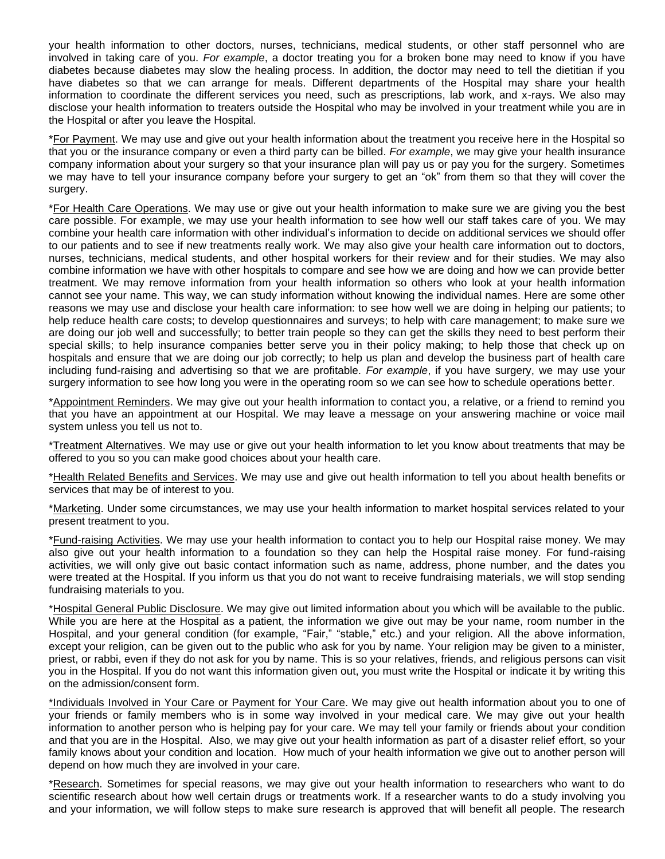your health information to other doctors, nurses, technicians, medical students, or other staff personnel who are involved in taking care of you. *For example*, a doctor treating you for a broken bone may need to know if you have diabetes because diabetes may slow the healing process. In addition, the doctor may need to tell the dietitian if you have diabetes so that we can arrange for meals. Different departments of the Hospital may share your health information to coordinate the different services you need, such as prescriptions, lab work, and x-rays. We also may disclose your health information to treaters outside the Hospital who may be involved in your treatment while you are in the Hospital or after you leave the Hospital.

\*For Payment. We may use and give out your health information about the treatment you receive here in the Hospital so that you or the insurance company or even a third party can be billed. *For example*, we may give your health insurance company information about your surgery so that your insurance plan will pay us or pay you for the surgery. Sometimes we may have to tell your insurance company before your surgery to get an "ok" from them so that they will cover the surgery.

\*For Health Care Operations. We may use or give out your health information to make sure we are giving you the best care possible. For example, we may use your health information to see how well our staff takes care of you. We may combine your health care information with other individual's information to decide on additional services we should offer to our patients and to see if new treatments really work. We may also give your health care information out to doctors, nurses, technicians, medical students, and other hospital workers for their review and for their studies. We may also combine information we have with other hospitals to compare and see how we are doing and how we can provide better treatment. We may remove information from your health information so others who look at your health information cannot see your name. This way, we can study information without knowing the individual names. Here are some other reasons we may use and disclose your health care information: to see how well we are doing in helping our patients; to help reduce health care costs; to develop questionnaires and surveys; to help with care management; to make sure we are doing our job well and successfully; to better train people so they can get the skills they need to best perform their special skills; to help insurance companies better serve you in their policy making; to help those that check up on hospitals and ensure that we are doing our job correctly; to help us plan and develop the business part of health care including fund-raising and advertising so that we are profitable. *For example*, if you have surgery, we may use your surgery information to see how long you were in the operating room so we can see how to schedule operations better.

\*Appointment Reminders. We may give out your health information to contact you, a relative, or a friend to remind you that you have an appointment at our Hospital. We may leave a message on your answering machine or voice mail system unless you tell us not to.

\*Treatment Alternatives. We may use or give out your health information to let you know about treatments that may be offered to you so you can make good choices about your health care.

\*Health Related Benefits and Services. We may use and give out health information to tell you about health benefits or services that may be of interest to you.

\*Marketing. Under some circumstances, we may use your health information to market hospital services related to your present treatment to you.

\*Fund-raising Activities. We may use your health information to contact you to help our Hospital raise money. We may also give out your health information to a foundation so they can help the Hospital raise money. For fund-raising activities, we will only give out basic contact information such as name, address, phone number, and the dates you were treated at the Hospital. If you inform us that you do not want to receive fundraising materials, we will stop sending fundraising materials to you.

\*Hospital General Public Disclosure. We may give out limited information about you which will be available to the public. While you are here at the Hospital as a patient, the information we give out may be your name, room number in the Hospital, and your general condition (for example, "Fair," "stable," etc.) and your religion. All the above information, except your religion, can be given out to the public who ask for you by name. Your religion may be given to a minister, priest, or rabbi, even if they do not ask for you by name. This is so your relatives, friends, and religious persons can visit you in the Hospital. If you do not want this information given out, you must write the Hospital or indicate it by writing this on the admission/consent form.

\*Individuals Involved in Your Care or Payment for Your Care. We may give out health information about you to one of your friends or family members who is in some way involved in your medical care. We may give out your health information to another person who is helping pay for your care. We may tell your family or friends about your condition and that you are in the Hospital. Also, we may give out your health information as part of a disaster relief effort, so your family knows about your condition and location. How much of your health information we give out to another person will depend on how much they are involved in your care.

\*Research. Sometimes for special reasons, we may give out your health information to researchers who want to do scientific research about how well certain drugs or treatments work. If a researcher wants to do a study involving you and your information, we will follow steps to make sure research is approved that will benefit all people. The research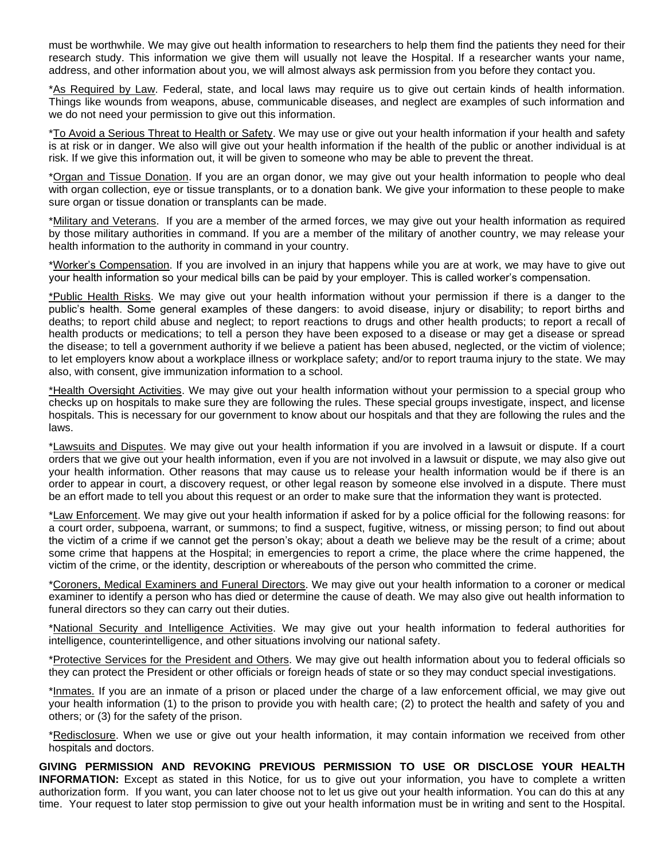must be worthwhile. We may give out health information to researchers to help them find the patients they need for their research study. This information we give them will usually not leave the Hospital. If a researcher wants your name, address, and other information about you, we will almost always ask permission from you before they contact you.

\*As Required by Law. Federal, state, and local laws may require us to give out certain kinds of health information. Things like wounds from weapons, abuse, communicable diseases, and neglect are examples of such information and we do not need your permission to give out this information.

\*To Avoid a Serious Threat to Health or Safety. We may use or give out your health information if your health and safety is at risk or in danger. We also will give out your health information if the health of the public or another individual is at risk. If we give this information out, it will be given to someone who may be able to prevent the threat.

\*Organ and Tissue Donation. If you are an organ donor, we may give out your health information to people who deal with organ collection, eye or tissue transplants, or to a donation bank. We give your information to these people to make sure organ or tissue donation or transplants can be made.

\*Military and Veterans. If you are a member of the armed forces, we may give out your health information as required by those military authorities in command. If you are a member of the military of another country, we may release your health information to the authority in command in your country.

\*Worker's Compensation. If you are involved in an injury that happens while you are at work, we may have to give out your health information so your medical bills can be paid by your employer. This is called worker's compensation.

\*Public Health Risks. We may give out your health information without your permission if there is a danger to the public's health. Some general examples of these dangers: to avoid disease, injury or disability; to report births and deaths; to report child abuse and neglect; to report reactions to drugs and other health products; to report a recall of health products or medications; to tell a person they have been exposed to a disease or may get a disease or spread the disease; to tell a government authority if we believe a patient has been abused, neglected, or the victim of violence; to let employers know about a workplace illness or workplace safety; and/or to report trauma injury to the state. We may also, with consent, give immunization information to a school.

\*Health Oversight Activities. We may give out your health information without your permission to a special group who checks up on hospitals to make sure they are following the rules. These special groups investigate, inspect, and license hospitals. This is necessary for our government to know about our hospitals and that they are following the rules and the laws.

\*Lawsuits and Disputes. We may give out your health information if you are involved in a lawsuit or dispute. If a court orders that we give out your health information, even if you are not involved in a lawsuit or dispute, we may also give out your health information. Other reasons that may cause us to release your health information would be if there is an order to appear in court, a discovery request, or other legal reason by someone else involved in a dispute. There must be an effort made to tell you about this request or an order to make sure that the information they want is protected.

\*Law Enforcement. We may give out your health information if asked for by a police official for the following reasons: for a court order, subpoena, warrant, or summons; to find a suspect, fugitive, witness, or missing person; to find out about the victim of a crime if we cannot get the person's okay; about a death we believe may be the result of a crime; about some crime that happens at the Hospital; in emergencies to report a crime, the place where the crime happened, the victim of the crime, or the identity, description or whereabouts of the person who committed the crime.

\*Coroners, Medical Examiners and Funeral Directors. We may give out your health information to a coroner or medical examiner to identify a person who has died or determine the cause of death. We may also give out health information to funeral directors so they can carry out their duties.

\*National Security and Intelligence Activities. We may give out your health information to federal authorities for intelligence, counterintelligence, and other situations involving our national safety.

\*Protective Services for the President and Others. We may give out health information about you to federal officials so they can protect the President or other officials or foreign heads of state or so they may conduct special investigations.

\*Inmates. If you are an inmate of a prison or placed under the charge of a law enforcement official, we may give out your health information (1) to the prison to provide you with health care; (2) to protect the health and safety of you and others; or (3) for the safety of the prison.

\*Redisclosure. When we use or give out your health information, it may contain information we received from other hospitals and doctors.

**GIVING PERMISSION AND REVOKING PREVIOUS PERMISSION TO USE OR DISCLOSE YOUR HEALTH INFORMATION:** Except as stated in this Notice, for us to give out your information, you have to complete a written authorization form. If you want, you can later choose not to let us give out your health information. You can do this at any time. Your request to later stop permission to give out your health information must be in writing and sent to the Hospital.